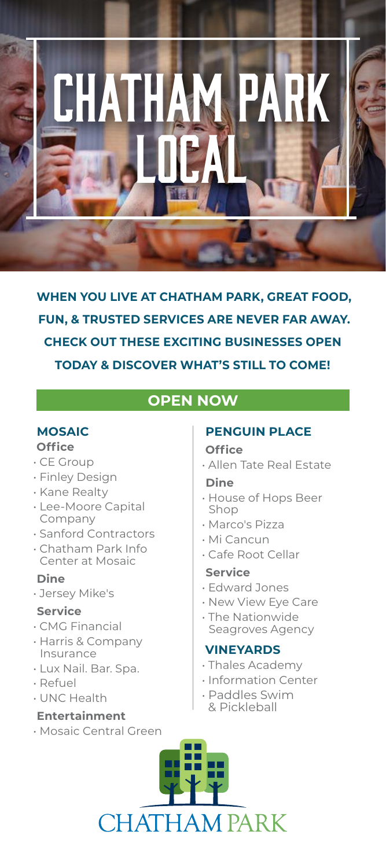

**WHEN YOU LIVE AT CHATHAM PARK, GREAT FOOD, FUN, & TRUSTED SERVICES ARE NEVER FAR AWAY. CHECK OUT THESE EXCITING BUSINESSES OPEN TODAY & DISCOVER WHAT'S STILL TO COME!**

# **OPEN NOW**

### **MOSAIC Office**

- CE Group
- Finley Design
- Kane Realty
- Lee-Moore Capital Company
- Sanford Contractors
- Chatham Park Info Center at Mosaic

## **Dine**

• Jersey Mike's

## **Service**

- CMG Financial
- Harris & Company Insurance
- Lux Nail. Bar. Spa.
- Refuel
- UNC Health

## **Entertainment**

• Mosaic Central Green

## **PENGUIN PLACE**

#### **Office**

• Allen Tate Real Estate

#### **Dine**

- House of Hops Beer Shop
- Marco's Pizza
- Mi Cancun
- Cafe Root Cellar

## **Service**

- Edward Jones
- New View Eye Care
- The Nationwide Seagroves Agency

## **VINEYARDS**

- Thales Academy
- Information Center
- Paddles Swim & Pickleball